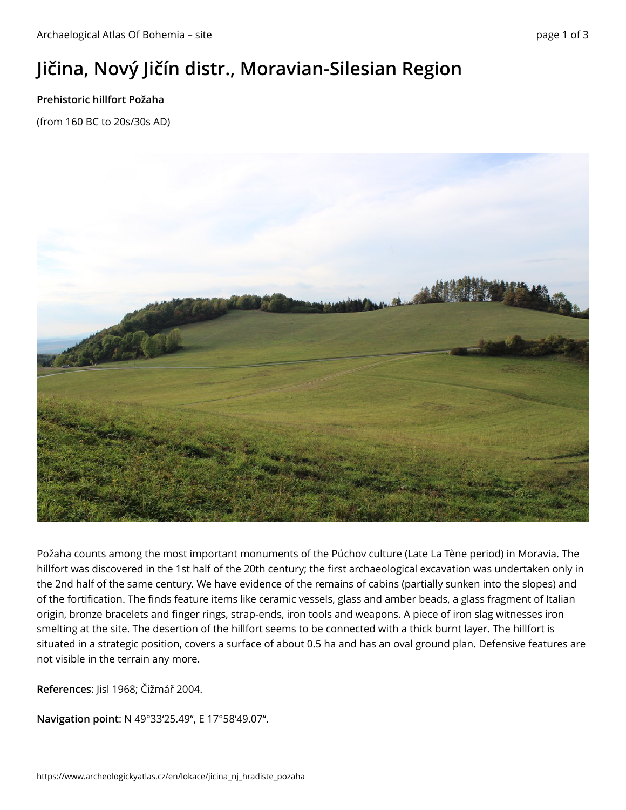## **Jičina, Nový Jičín distr., Moravian-Silesian Region**

## **Prehistoric hillfort Požaha**

(from 160 BC to 20s/30s AD)



Požaha counts among the most important monuments of the Púchov culture (Late La Tène period) in Moravia. The hillfort was discovered in the 1st half of the 20th century; the first archaeological excavation was undertaken only in the 2nd half of the same century. We have evidence of the remains of cabins (partially sunken into the slopes) and of the fortification. The finds feature items like ceramic vessels, glass and amber beads, a glass fragment of Italian origin, bronze bracelets and finger rings, strap-ends, iron tools and weapons. A piece of iron slag witnesses iron smelting at the site. The desertion of the hillfort seems to be connected with a thick burnt layer. The hillfort is situated in a strategic position, covers a surface of about 0.5 ha and has an oval ground plan. Defensive features are not visible in the terrain any more.

**References**: Jisl 1968; Čižmář 2004.

**Navigation point**: N 49°33'25.49", E 17°58'49.07".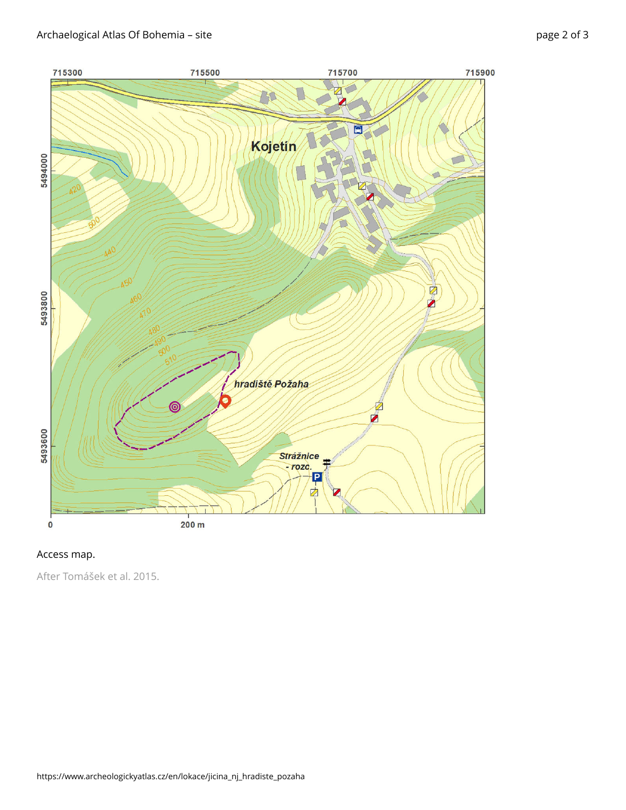

## Access map.

After Tomášek et al. 2015.